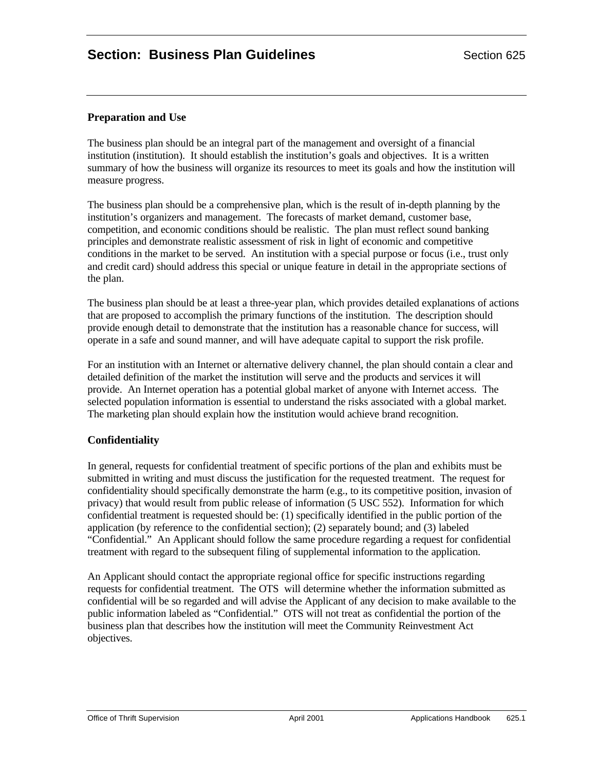# **Preparation and Use**

The business plan should be an integral part of the management and oversight of a financial institution (institution). It should establish the institution's goals and objectives. It is a written summary of how the business will organize its resources to meet its goals and how the institution will measure progress.

The business plan should be a comprehensive plan, which is the result of in-depth planning by the institution's organizers and management. The forecasts of market demand, customer base, competition, and economic conditions should be realistic. The plan must reflect sound banking principles and demonstrate realistic assessment of risk in light of economic and competitive conditions in the market to be served. An institution with a special purpose or focus (i.e., trust only and credit card) should address this special or unique feature in detail in the appropriate sections of the plan.

The business plan should be at least a three-year plan, which provides detailed explanations of actions that are proposed to accomplish the primary functions of the institution. The description should provide enough detail to demonstrate that the institution has a reasonable chance for success, will operate in a safe and sound manner, and will have adequate capital to support the risk profile.

For an institution with an Internet or alternative delivery channel, the plan should contain a clear and detailed definition of the market the institution will serve and the products and services it will provide. An Internet operation has a potential global market of anyone with Internet access. The selected population information is essential to understand the risks associated with a global market. The marketing plan should explain how the institution would achieve brand recognition.

# **Confidentiality**

In general, requests for confidential treatment of specific portions of the plan and exhibits must be submitted in writing and must discuss the justification for the requested treatment. The request for confidentiality should specifically demonstrate the harm (e.g., to its competitive position, invasion of privacy) that would result from public release of information (5 USC 552). Information for which confidential treatment is requested should be: (1) specifically identified in the public portion of the application (by reference to the confidential section); (2) separately bound; and (3) labeled "Confidential." An Applicant should follow the same procedure regarding a request for confidential treatment with regard to the subsequent filing of supplemental information to the application.

An Applicant should contact the appropriate regional office for specific instructions regarding requests for confidential treatment. The OTS will determine whether the information submitted as confidential will be so regarded and will advise the Applicant of any decision to make available to the public information labeled as "Confidential." OTS will not treat as confidential the portion of the business plan that describes how the institution will meet the Community Reinvestment Act objectives.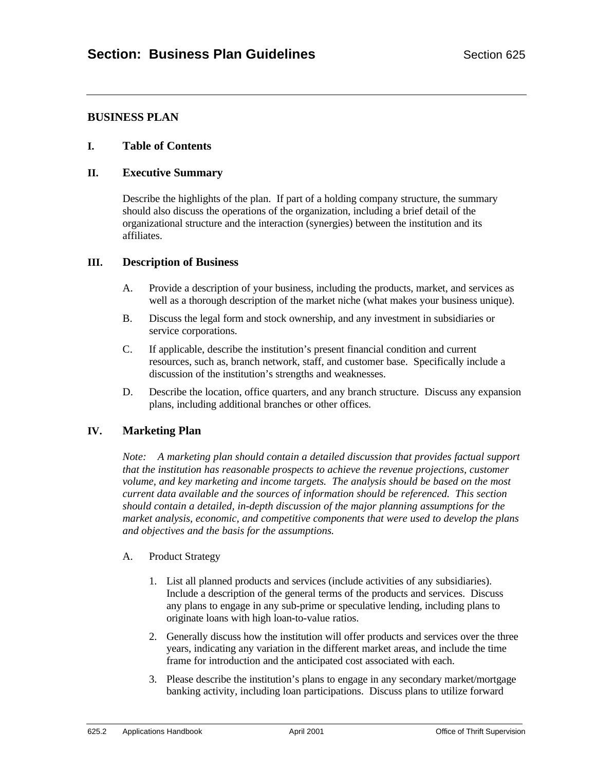# **BUSINESS PLAN**

#### **I. Table of Contents**

#### **II. Executive Summary**

Describe the highlights of the plan. If part of a holding company structure, the summary should also discuss the operations of the organization, including a brief detail of the organizational structure and the interaction (synergies) between the institution and its affiliates.

#### **III. Description of Business**

- A. Provide a description of your business, including the products, market, and services as well as a thorough description of the market niche (what makes your business unique).
- B. Discuss the legal form and stock ownership, and any investment in subsidiaries or service corporations.
- C. If applicable, describe the institution's present financial condition and current resources, such as, branch network, staff, and customer base. Specifically include a discussion of the institution's strengths and weaknesses.
- D. Describe the location, office quarters, and any branch structure. Discuss any expansion plans, including additional branches or other offices.

# **IV. Marketing Plan**

*Note: A marketing plan should contain a detailed discussion that provides factual support that the institution has reasonable prospects to achieve the revenue projections, customer volume, and key marketing and income targets. The analysis should be based on the most current data available and the sources of information should be referenced. This section should contain a detailed, in-depth discussion of the major planning assumptions for the market analysis, economic, and competitive components that were used to develop the plans and objectives and the basis for the assumptions.*

#### A. Product Strategy

- 1. List all planned products and services (include activities of any subsidiaries). Include a description of the general terms of the products and services. Discuss any plans to engage in any sub-prime or speculative lending, including plans to originate loans with high loan-to-value ratios.
- 2. Generally discuss how the institution will offer products and services over the three years, indicating any variation in the different market areas, and include the time frame for introduction and the anticipated cost associated with each.
- 3. Please describe the institution's plans to engage in any secondary market/mortgage banking activity, including loan participations. Discuss plans to utilize forward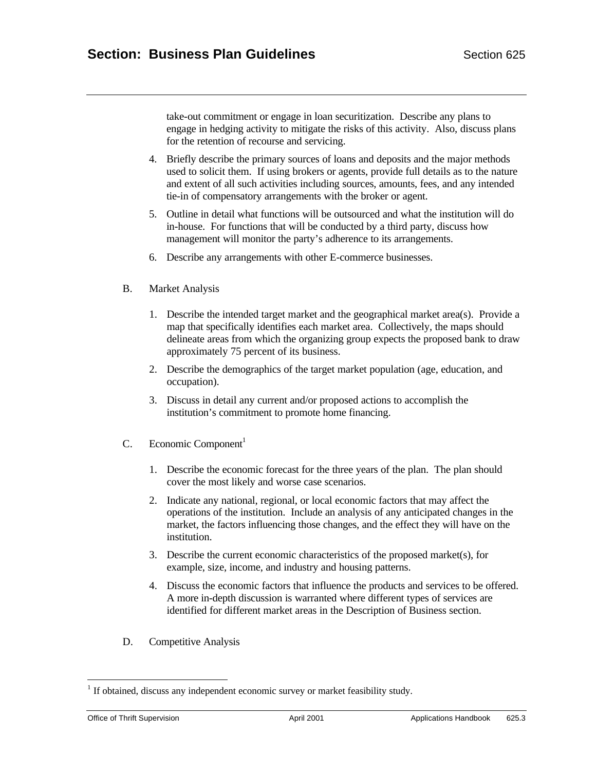take-out commitment or engage in loan securitization. Describe any plans to engage in hedging activity to mitigate the risks of this activity. Also, discuss plans for the retention of recourse and servicing.

- 4. Briefly describe the primary sources of loans and deposits and the major methods used to solicit them. If using brokers or agents, provide full details as to the nature and extent of all such activities including sources, amounts, fees, and any intended tie-in of compensatory arrangements with the broker or agent.
- 5. Outline in detail what functions will be outsourced and what the institution will do in-house. For functions that will be conducted by a third party, discuss how management will monitor the party's adherence to its arrangements.
- 6. Describe any arrangements with other E-commerce businesses.

#### B. Market Analysis

- 1. Describe the intended target market and the geographical market area(s). Provide a map that specifically identifies each market area. Collectively, the maps should delineate areas from which the organizing group expects the proposed bank to draw approximately 75 percent of its business.
- 2. Describe the demographics of the target market population (age, education, and occupation).
- 3. Discuss in detail any current and/or proposed actions to accomplish the institution's commitment to promote home financing.
- C. Economic Component<sup>1</sup>
	- 1. Describe the economic forecast for the three years of the plan. The plan should cover the most likely and worse case scenarios.
	- 2. Indicate any national, regional, or local economic factors that may affect the operations of the institution. Include an analysis of any anticipated changes in the market, the factors influencing those changes, and the effect they will have on the institution.
	- 3. Describe the current economic characteristics of the proposed market(s), for example, size, income, and industry and housing patterns.
	- 4. Discuss the economic factors that influence the products and services to be offered. A more in-depth discussion is warranted where different types of services are identified for different market areas in the Description of Business section.
- D. Competitive Analysis

 $\overline{a}$ <sup>1</sup> If obtained, discuss any independent economic survey or market feasibility study.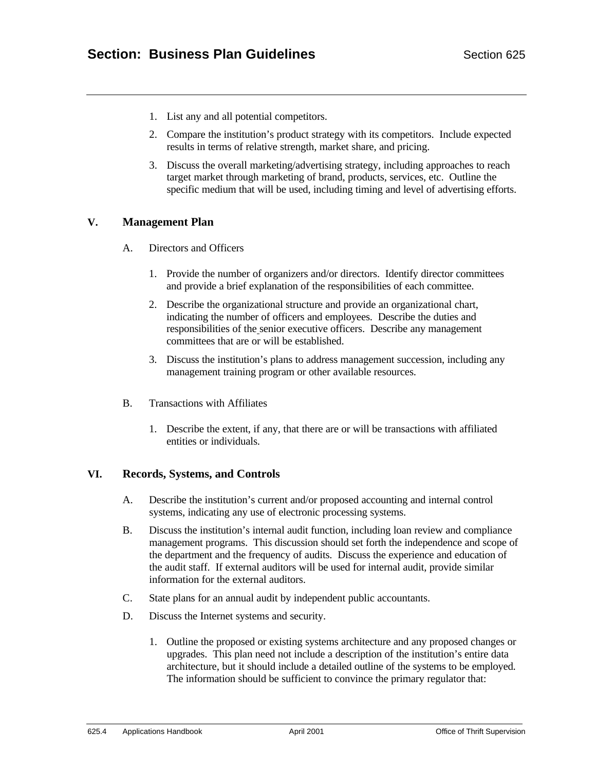- 1. List any and all potential competitors.
- 2. Compare the institution's product strategy with its competitors. Include expected results in terms of relative strength, market share, and pricing.
- 3. Discuss the overall marketing/advertising strategy, including approaches to reach target market through marketing of brand, products, services, etc. Outline the specific medium that will be used, including timing and level of advertising efforts.

# **V. Management Plan**

- A. Directors and Officers
	- 1. Provide the number of organizers and/or directors. Identify director committees and provide a brief explanation of the responsibilities of each committee.
	- 2. Describe the organizational structure and provide an organizational chart, indicating the number of officers and employees. Describe the duties and responsibilities of the senior executive officers. Describe any management committees that are or will be established.
	- 3. Discuss the institution's plans to address management succession, including any management training program or other available resources.
- B. Transactions with Affiliates
	- 1. Describe the extent, if any, that there are or will be transactions with affiliated entities or individuals.

# **VI. Records, Systems, and Controls**

- A. Describe the institution's current and/or proposed accounting and internal control systems, indicating any use of electronic processing systems.
- B. Discuss the institution's internal audit function, including loan review and compliance management programs. This discussion should set forth the independence and scope of the department and the frequency of audits. Discuss the experience and education of the audit staff. If external auditors will be used for internal audit, provide similar information for the external auditors.
- C. State plans for an annual audit by independent public accountants.
- D. Discuss the Internet systems and security.
	- 1. Outline the proposed or existing systems architecture and any proposed changes or upgrades. This plan need not include a description of the institution's entire data architecture, but it should include a detailed outline of the systems to be employed. The information should be sufficient to convince the primary regulator that: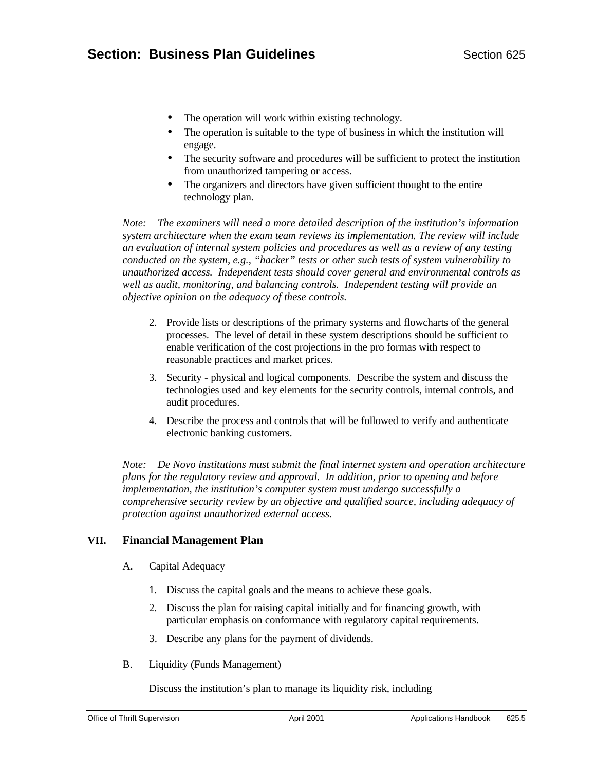- The operation will work within existing technology.
- The operation is suitable to the type of business in which the institution will engage.
- The security software and procedures will be sufficient to protect the institution from unauthorized tampering or access.
- The organizers and directors have given sufficient thought to the entire technology plan.

*Note: The examiners will need a more detailed description of the institution's information system architecture when the exam team reviews its implementation. The review will include an evaluation of internal system policies and procedures as well as a review of any testing conducted on the system, e.g., "hacker" tests or other such tests of system vulnerability to unauthorized access. Independent tests should cover general and environmental controls as well as audit, monitoring, and balancing controls. Independent testing will provide an objective opinion on the adequacy of these controls.*

- 2. Provide lists or descriptions of the primary systems and flowcharts of the general processes. The level of detail in these system descriptions should be sufficient to enable verification of the cost projections in the pro formas with respect to reasonable practices and market prices.
- 3. Security physical and logical components. Describe the system and discuss the technologies used and key elements for the security controls, internal controls, and audit procedures.
- 4. Describe the process and controls that will be followed to verify and authenticate electronic banking customers.

*Note: De Novo institutions must submit the final internet system and operation architecture plans for the regulatory review and approval. In addition, prior to opening and before implementation, the institution's computer system must undergo successfully a comprehensive security review by an objective and qualified source, including adequacy of protection against unauthorized external access.*

# **VII. Financial Management Plan**

- A. Capital Adequacy
	- 1. Discuss the capital goals and the means to achieve these goals.
	- 2. Discuss the plan for raising capital initially and for financing growth, with particular emphasis on conformance with regulatory capital requirements.
	- 3. Describe any plans for the payment of dividends.
- B. Liquidity (Funds Management)

Discuss the institution's plan to manage its liquidity risk, including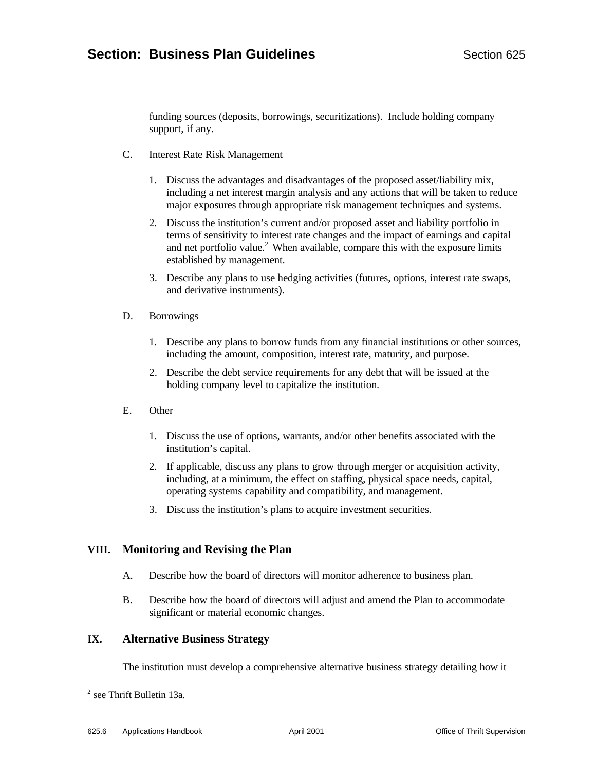funding sources (deposits, borrowings, securitizations). Include holding company support, if any.

- C. Interest Rate Risk Management
	- 1. Discuss the advantages and disadvantages of the proposed asset/liability mix, including a net interest margin analysis and any actions that will be taken to reduce major exposures through appropriate risk management techniques and systems.
	- 2. Discuss the institution's current and/or proposed asset and liability portfolio in terms of sensitivity to interest rate changes and the impact of earnings and capital and net portfolio value.<sup>2</sup> When available, compare this with the exposure limits established by management.
	- 3. Describe any plans to use hedging activities (futures, options, interest rate swaps, and derivative instruments).
- D. Borrowings
	- 1. Describe any plans to borrow funds from any financial institutions or other sources, including the amount, composition, interest rate, maturity, and purpose.
	- 2. Describe the debt service requirements for any debt that will be issued at the holding company level to capitalize the institution.
- E. Other
	- 1. Discuss the use of options, warrants, and/or other benefits associated with the institution's capital.
	- 2. If applicable, discuss any plans to grow through merger or acquisition activity, including, at a minimum, the effect on staffing, physical space needs, capital, operating systems capability and compatibility, and management.
	- 3. Discuss the institution's plans to acquire investment securities.

# **VIII. Monitoring and Revising the Plan**

- A. Describe how the board of directors will monitor adherence to business plan.
- B. Describe how the board of directors will adjust and amend the Plan to accommodate significant or material economic changes.

# **IX. Alternative Business Strategy**

The institution must develop a comprehensive alternative business strategy detailing how it

<sup>&</sup>lt;sup>2</sup> see Thrift Bulletin 13a.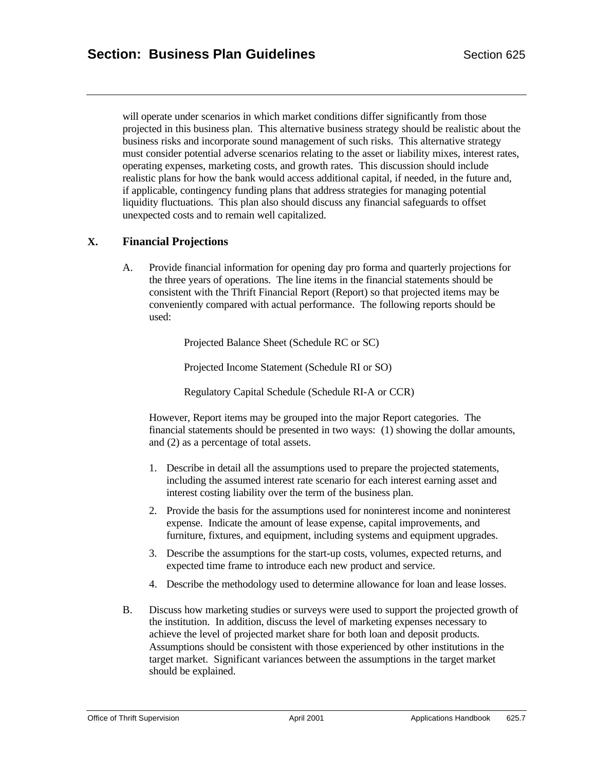will operate under scenarios in which market conditions differ significantly from those projected in this business plan. This alternative business strategy should be realistic about the business risks and incorporate sound management of such risks. This alternative strategy must consider potential adverse scenarios relating to the asset or liability mixes, interest rates, operating expenses, marketing costs, and growth rates. This discussion should include realistic plans for how the bank would access additional capital, if needed, in the future and, if applicable, contingency funding plans that address strategies for managing potential liquidity fluctuations. This plan also should discuss any financial safeguards to offset unexpected costs and to remain well capitalized.

# **X. Financial Projections**

A. Provide financial information for opening day pro forma and quarterly projections for the three years of operations. The line items in the financial statements should be consistent with the Thrift Financial Report (Report) so that projected items may be conveniently compared with actual performance. The following reports should be used:

Projected Balance Sheet (Schedule RC or SC)

Projected Income Statement (Schedule RI or SO)

Regulatory Capital Schedule (Schedule RI-A or CCR)

However, Report items may be grouped into the major Report categories. The financial statements should be presented in two ways: (1) showing the dollar amounts, and (2) as a percentage of total assets.

- 1. Describe in detail all the assumptions used to prepare the projected statements, including the assumed interest rate scenario for each interest earning asset and interest costing liability over the term of the business plan.
- 2. Provide the basis for the assumptions used for noninterest income and noninterest expense. Indicate the amount of lease expense, capital improvements, and furniture, fixtures, and equipment, including systems and equipment upgrades.
- 3. Describe the assumptions for the start-up costs, volumes, expected returns, and expected time frame to introduce each new product and service.
- 4. Describe the methodology used to determine allowance for loan and lease losses.
- B. Discuss how marketing studies or surveys were used to support the projected growth of the institution. In addition, discuss the level of marketing expenses necessary to achieve the level of projected market share for both loan and deposit products. Assumptions should be consistent with those experienced by other institutions in the target market. Significant variances between the assumptions in the target market should be explained.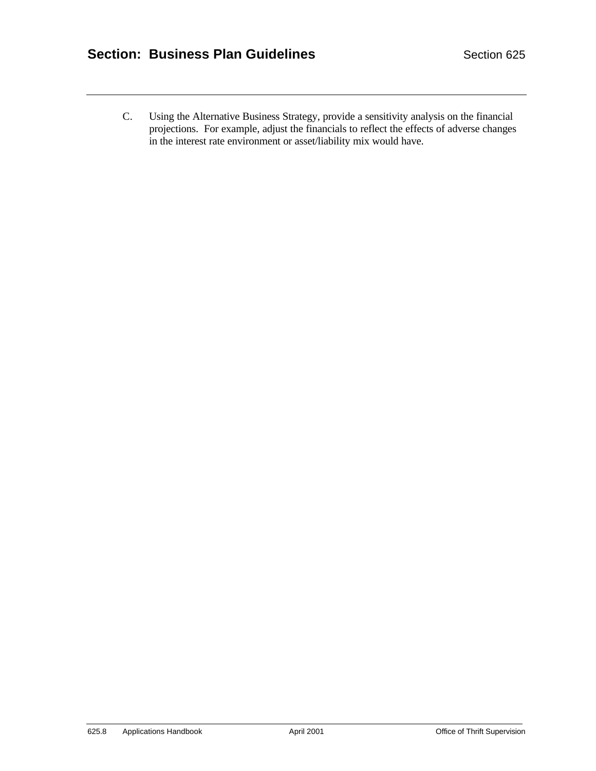C. Using the Alternative Business Strategy, provide a sensitivity analysis on the financial projections. For example, adjust the financials to reflect the effects of adverse changes in the interest rate environment or asset/liability mix would have.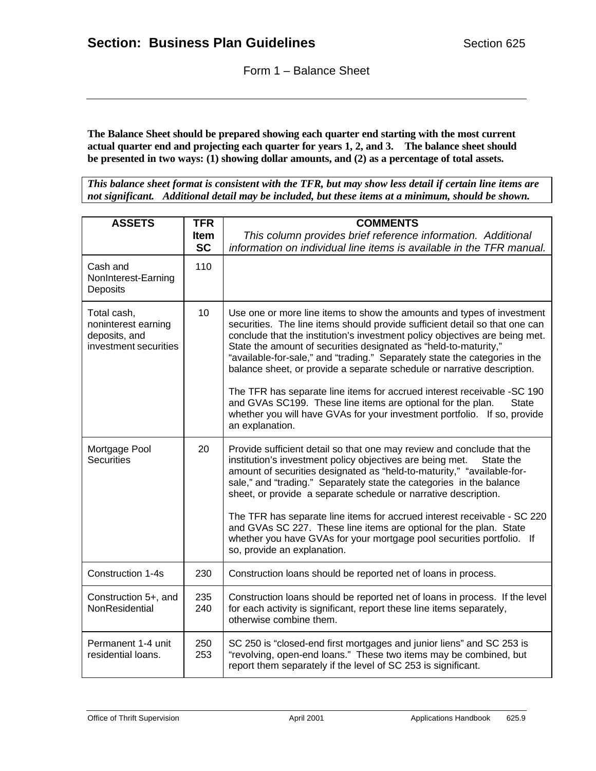**The Balance Sheet should be prepared showing each quarter end starting with the most current actual quarter end and projecting each quarter for years 1, 2, and 3. The balance sheet should be presented in two ways: (1) showing dollar amounts, and (2) as a percentage of total assets.** 

*This balance sheet format is consistent with the TFR, but may show less detail if certain line items are not significant. Additional detail may be included, but these items at a minimum, should be shown.* 

| <b>ASSETS</b>                                                                | <b>TFR</b>  | <b>COMMENTS</b>                                                                                                                                                                                                                                                                                                                                                                                                                                                                                                                                                                                                                                                                                                             |  |
|------------------------------------------------------------------------------|-------------|-----------------------------------------------------------------------------------------------------------------------------------------------------------------------------------------------------------------------------------------------------------------------------------------------------------------------------------------------------------------------------------------------------------------------------------------------------------------------------------------------------------------------------------------------------------------------------------------------------------------------------------------------------------------------------------------------------------------------------|--|
|                                                                              | <b>Item</b> | This column provides brief reference information. Additional                                                                                                                                                                                                                                                                                                                                                                                                                                                                                                                                                                                                                                                                |  |
|                                                                              | <b>SC</b>   | information on individual line items is available in the TFR manual.                                                                                                                                                                                                                                                                                                                                                                                                                                                                                                                                                                                                                                                        |  |
| Cash and<br>NonInterest-Earning<br>Deposits                                  | 110         |                                                                                                                                                                                                                                                                                                                                                                                                                                                                                                                                                                                                                                                                                                                             |  |
| Total cash,<br>noninterest earning<br>deposits, and<br>investment securities | 10          | Use one or more line items to show the amounts and types of investment<br>securities. The line items should provide sufficient detail so that one can<br>conclude that the institution's investment policy objectives are being met.<br>State the amount of securities designated as "held-to-maturity,"<br>"available-for-sale," and "trading." Separately state the categories in the<br>balance sheet, or provide a separate schedule or narrative description.<br>The TFR has separate line items for accrued interest receivable -SC 190<br>and GVAs SC199. These line items are optional for the plan.<br><b>State</b><br>whether you will have GVAs for your investment portfolio. If so, provide<br>an explanation. |  |
| Mortgage Pool<br><b>Securities</b>                                           | 20          | Provide sufficient detail so that one may review and conclude that the<br>institution's investment policy objectives are being met.<br>State the<br>amount of securities designated as "held-to-maturity," "available-for-<br>sale," and "trading." Separately state the categories in the balance<br>sheet, or provide a separate schedule or narrative description.<br>The TFR has separate line items for accrued interest receivable - SC 220<br>and GVAs SC 227. These line items are optional for the plan. State<br>whether you have GVAs for your mortgage pool securities portfolio. If<br>so, provide an explanation.                                                                                             |  |
| Construction 1-4s                                                            | 230         | Construction loans should be reported net of loans in process.                                                                                                                                                                                                                                                                                                                                                                                                                                                                                                                                                                                                                                                              |  |
| Construction 5+, and<br>NonResidential                                       | 235<br>240  | Construction loans should be reported net of loans in process. If the level<br>for each activity is significant, report these line items separately,<br>otherwise combine them.                                                                                                                                                                                                                                                                                                                                                                                                                                                                                                                                             |  |
| Permanent 1-4 unit<br>residential loans.                                     | 250<br>253  | SC 250 is "closed-end first mortgages and junior liens" and SC 253 is<br>"revolving, open-end loans." These two items may be combined, but<br>report them separately if the level of SC 253 is significant.                                                                                                                                                                                                                                                                                                                                                                                                                                                                                                                 |  |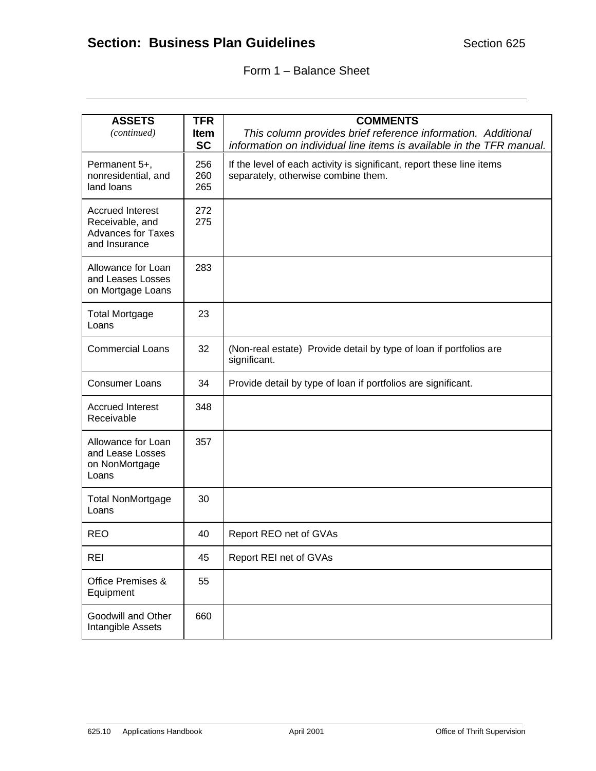# Form 1 – Balance Sheet

| <b>ASSETS</b>                                | <b>TFR</b>  | <b>COMMENTS</b>                                                       |  |
|----------------------------------------------|-------------|-----------------------------------------------------------------------|--|
| (continued)                                  | <b>Item</b> | This column provides brief reference information. Additional          |  |
|                                              | <b>SC</b>   | information on individual line items is available in the TFR manual.  |  |
| Permanent 5+,                                | 256         | If the level of each activity is significant, report these line items |  |
| nonresidential, and                          | 260         | separately, otherwise combine them.                                   |  |
| land loans                                   | 265         |                                                                       |  |
| <b>Accrued Interest</b>                      | 272         |                                                                       |  |
| Receivable, and<br><b>Advances for Taxes</b> | 275         |                                                                       |  |
| and Insurance                                |             |                                                                       |  |
|                                              |             |                                                                       |  |
| Allowance for Loan                           | 283         |                                                                       |  |
| and Leases Losses<br>on Mortgage Loans       |             |                                                                       |  |
|                                              |             |                                                                       |  |
| <b>Total Mortgage</b><br>Loans               | 23          |                                                                       |  |
|                                              |             |                                                                       |  |
| <b>Commercial Loans</b>                      | 32          | (Non-real estate) Provide detail by type of loan if portfolios are    |  |
|                                              |             | significant.                                                          |  |
| <b>Consumer Loans</b>                        | 34          | Provide detail by type of loan if portfolios are significant.         |  |
| <b>Accrued Interest</b>                      | 348         |                                                                       |  |
| Receivable                                   |             |                                                                       |  |
| Allowance for Loan                           | 357         |                                                                       |  |
| and Lease Losses                             |             |                                                                       |  |
| on NonMortgage<br>Loans                      |             |                                                                       |  |
|                                              |             |                                                                       |  |
| <b>Total NonMortgage</b>                     | 30          |                                                                       |  |
| Loans                                        |             |                                                                       |  |
| <b>REO</b>                                   | 40          | Report REO net of GVAs                                                |  |
| <b>REI</b>                                   | 45          | Report REI net of GVAs                                                |  |
| Office Premises &                            | 55          |                                                                       |  |
| Equipment                                    |             |                                                                       |  |
| Goodwill and Other                           | 660         |                                                                       |  |
| Intangible Assets                            |             |                                                                       |  |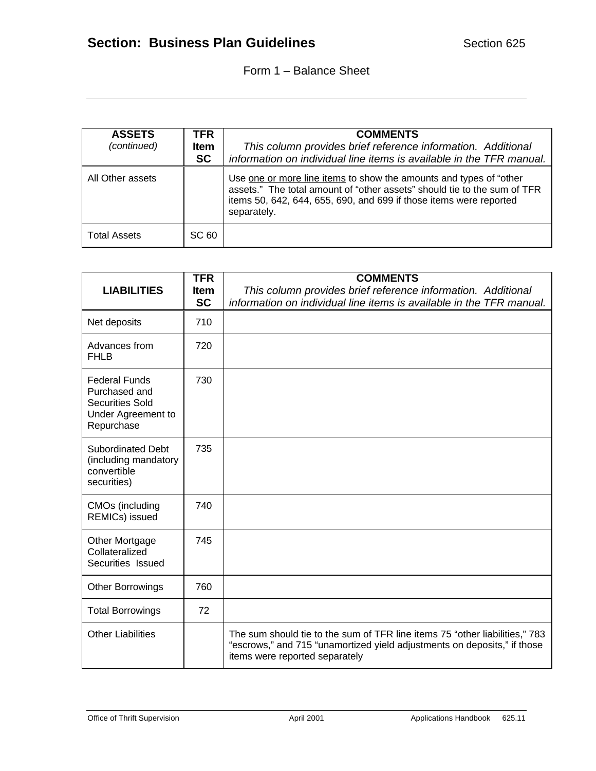| <b>ASSETS</b><br>(continued) | TFR.<br><b>Item</b><br><b>SC</b> | <b>COMMENTS</b><br>This column provides brief reference information. Additional<br>information on individual line items is available in the TFR manual.                                                                             |  |  |
|------------------------------|----------------------------------|-------------------------------------------------------------------------------------------------------------------------------------------------------------------------------------------------------------------------------------|--|--|
| All Other assets             |                                  | Use one or more line items to show the amounts and types of "other<br>assets." The total amount of "other assets" should tie to the sum of TFR<br>items 50, 642, 644, 655, 690, and 699 if those items were reported<br>separately. |  |  |
| <b>Total Assets</b>          | SC 60                            |                                                                                                                                                                                                                                     |  |  |

|                                                                                                     | <b>TFR</b>  | <b>COMMENTS</b>                                                                                                                                                                           |  |
|-----------------------------------------------------------------------------------------------------|-------------|-------------------------------------------------------------------------------------------------------------------------------------------------------------------------------------------|--|
| <b>LIABILITIES</b>                                                                                  | <b>Item</b> | This column provides brief reference information. Additional                                                                                                                              |  |
|                                                                                                     | <b>SC</b>   | information on individual line items is available in the TFR manual.                                                                                                                      |  |
| Net deposits                                                                                        | 710         |                                                                                                                                                                                           |  |
| Advances from<br><b>FHLB</b>                                                                        | 720         |                                                                                                                                                                                           |  |
| <b>Federal Funds</b><br>Purchased and<br><b>Securities Sold</b><br>Under Agreement to<br>Repurchase | 730         |                                                                                                                                                                                           |  |
| <b>Subordinated Debt</b><br>(including mandatory<br>convertible<br>securities)                      | 735         |                                                                                                                                                                                           |  |
| CMOs (including<br>REMICs) issued                                                                   | 740         |                                                                                                                                                                                           |  |
| Other Mortgage<br>Collateralized<br>Securities Issued                                               | 745         |                                                                                                                                                                                           |  |
| <b>Other Borrowings</b>                                                                             | 760         |                                                                                                                                                                                           |  |
| <b>Total Borrowings</b>                                                                             | 72          |                                                                                                                                                                                           |  |
| <b>Other Liabilities</b>                                                                            |             | The sum should tie to the sum of TFR line items 75 "other liabilities," 783<br>"escrows," and 715 "unamortized yield adjustments on deposits," if those<br>items were reported separately |  |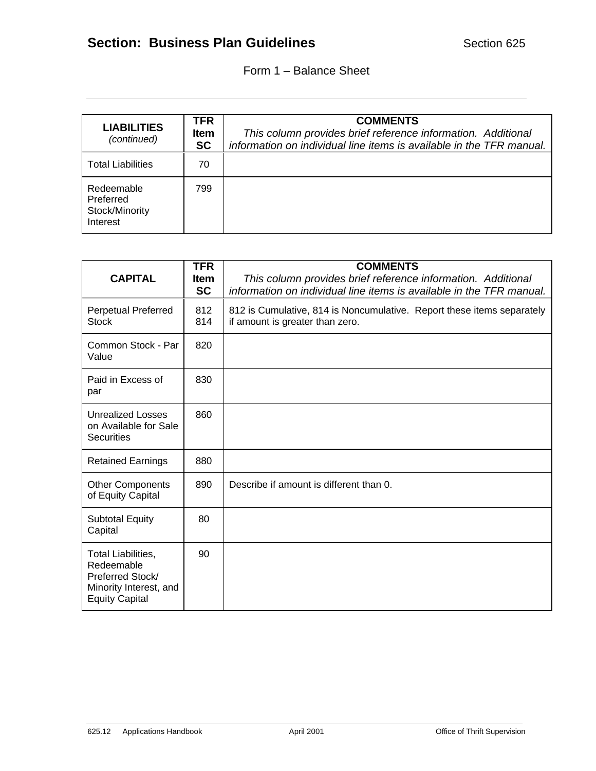# Form 1 – Balance Sheet

| <b>LIABILITIES</b><br>(continued)                     | <b>TFR</b><br><b>Item</b><br><b>SC</b> | <b>COMMENTS</b><br>This column provides brief reference information. Additional<br>information on individual line items is available in the TFR manual. |
|-------------------------------------------------------|----------------------------------------|---------------------------------------------------------------------------------------------------------------------------------------------------------|
| <b>Total Liabilities</b>                              | 70                                     |                                                                                                                                                         |
| Redeemable<br>Preferred<br>Stock/Minority<br>Interest | 799                                    |                                                                                                                                                         |

| <b>CAPITAL</b>                                                                                                 | <b>TFR</b><br><b>Item</b><br><b>SC</b> | <b>COMMENTS</b><br>This column provides brief reference information. Additional<br>information on individual line items is available in the TFR manual. |  |  |  |  |
|----------------------------------------------------------------------------------------------------------------|----------------------------------------|---------------------------------------------------------------------------------------------------------------------------------------------------------|--|--|--|--|
| <b>Perpetual Preferred</b><br><b>Stock</b>                                                                     | 812<br>814                             | 812 is Cumulative, 814 is Noncumulative. Report these items separately<br>if amount is greater than zero.                                               |  |  |  |  |
| Common Stock - Par<br>Value                                                                                    | 820                                    |                                                                                                                                                         |  |  |  |  |
| Paid in Excess of<br>par                                                                                       | 830                                    |                                                                                                                                                         |  |  |  |  |
| Unrealized Losses<br>on Available for Sale<br><b>Securities</b>                                                | 860                                    |                                                                                                                                                         |  |  |  |  |
| <b>Retained Earnings</b>                                                                                       | 880                                    |                                                                                                                                                         |  |  |  |  |
| <b>Other Components</b><br>of Equity Capital                                                                   | 890                                    | Describe if amount is different than 0.                                                                                                                 |  |  |  |  |
| <b>Subtotal Equity</b><br>Capital                                                                              | 80                                     |                                                                                                                                                         |  |  |  |  |
| <b>Total Liabilities,</b><br>Redeemable<br>Preferred Stock/<br>Minority Interest, and<br><b>Equity Capital</b> | 90                                     |                                                                                                                                                         |  |  |  |  |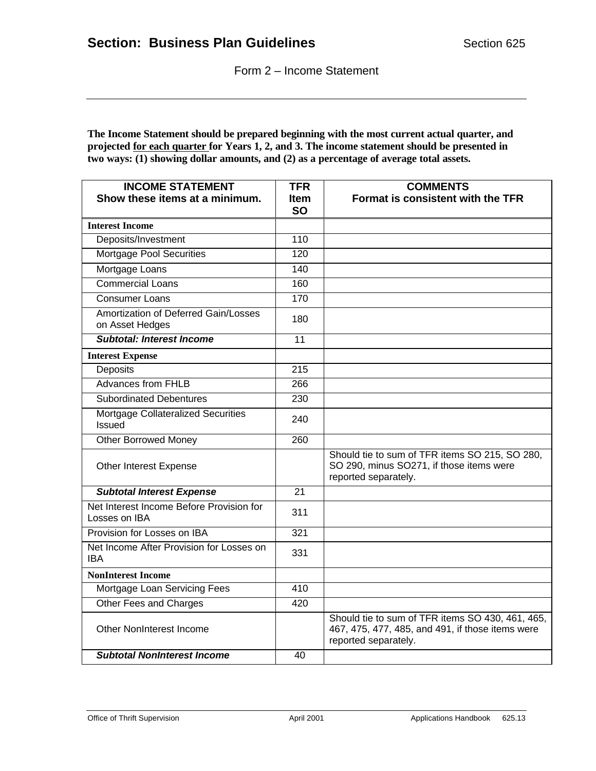Form 2 – Income Statement

**The Income Statement should be prepared beginning with the most current actual quarter, and projected for each quarter for Years 1, 2, and 3. The income statement should be presented in two ways: (1) showing dollar amounts, and (2) as a percentage of average total assets.** 

| <b>INCOME STATEMENT</b><br>Show these items at a minimum. | <b>TFR</b><br><b>Item</b> | <b>COMMENTS</b><br>Format is consistent with the TFR                                                                         |
|-----------------------------------------------------------|---------------------------|------------------------------------------------------------------------------------------------------------------------------|
|                                                           | <b>SO</b>                 |                                                                                                                              |
| <b>Interest Income</b>                                    |                           |                                                                                                                              |
| Deposits/Investment                                       | $\overline{110}$          |                                                                                                                              |
| <b>Mortgage Pool Securities</b>                           | $\overline{120}$          |                                                                                                                              |
| Mortgage Loans                                            | 140                       |                                                                                                                              |
| <b>Commercial Loans</b>                                   | 160                       |                                                                                                                              |
| <b>Consumer Loans</b>                                     | 170                       |                                                                                                                              |
| Amortization of Deferred Gain/Losses<br>on Asset Hedges   | 180                       |                                                                                                                              |
| <b>Subtotal: Interest Income</b>                          | 11                        |                                                                                                                              |
| <b>Interest Expense</b>                                   |                           |                                                                                                                              |
| Deposits                                                  | $\overline{215}$          |                                                                                                                              |
| <b>Advances from FHLB</b>                                 | 266                       |                                                                                                                              |
| <b>Subordinated Debentures</b>                            | 230                       |                                                                                                                              |
| Mortgage Collateralized Securities<br><b>Issued</b>       | 240                       |                                                                                                                              |
| <b>Other Borrowed Money</b>                               | 260                       |                                                                                                                              |
| Other Interest Expense                                    |                           | Should tie to sum of TFR items SO 215, SO 280,<br>SO 290, minus SO271, if those items were<br>reported separately.           |
| <b>Subtotal Interest Expense</b>                          | $\overline{21}$           |                                                                                                                              |
| Net Interest Income Before Provision for<br>Losses on IBA | 311                       |                                                                                                                              |
| Provision for Losses on IBA                               | 321                       |                                                                                                                              |
| Net Income After Provision for Losses on<br>IBA           | 331                       |                                                                                                                              |
| <b>NonInterest Income</b>                                 |                           |                                                                                                                              |
| Mortgage Loan Servicing Fees                              | 410                       |                                                                                                                              |
| Other Fees and Charges                                    | $\overline{420}$          |                                                                                                                              |
| <b>Other NonInterest Income</b>                           |                           | Should tie to sum of TFR items SO 430, 461, 465,<br>467, 475, 477, 485, and 491, if those items were<br>reported separately. |
| <b>Subtotal NonInterest Income</b>                        | 40                        |                                                                                                                              |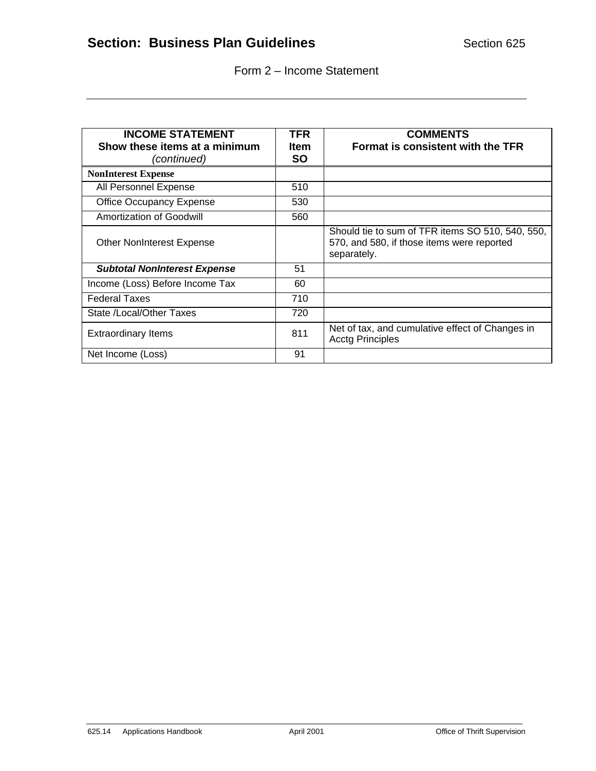|  |  | Form 2 - Income Statement |
|--|--|---------------------------|
|--|--|---------------------------|

| <b>INCOME STATEMENT</b>                      | <b>TFR</b>               | <b>COMMENTS</b>                                                                                               |
|----------------------------------------------|--------------------------|---------------------------------------------------------------------------------------------------------------|
| Show these items at a minimum<br>(continued) | <b>Item</b><br><b>SO</b> | Format is consistent with the TFR                                                                             |
| <b>NonInterest Expense</b>                   |                          |                                                                                                               |
| All Personnel Expense                        | 510                      |                                                                                                               |
| <b>Office Occupancy Expense</b>              | 530                      |                                                                                                               |
| Amortization of Goodwill                     | 560                      |                                                                                                               |
| <b>Other NonInterest Expense</b>             |                          | Should tie to sum of TFR items SO 510, 540, 550,<br>570, and 580, if those items were reported<br>separately. |
| <b>Subtotal NonInterest Expense</b>          | 51                       |                                                                                                               |
| Income (Loss) Before Income Tax              | 60                       |                                                                                                               |
| <b>Federal Taxes</b>                         | 710                      |                                                                                                               |
| State /Local/Other Taxes                     | 720                      |                                                                                                               |
| <b>Extraordinary Items</b>                   | 811                      | Net of tax, and cumulative effect of Changes in<br><b>Acctg Principles</b>                                    |
| Net Income (Loss)                            | 91                       |                                                                                                               |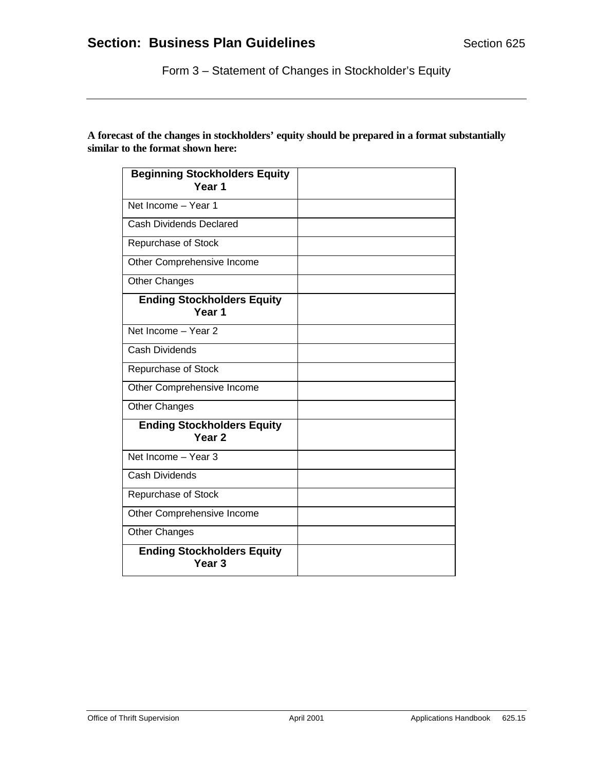Form 3 – Statement of Changes in Stockholder's Equity

| <b>Beginning Stockholders Equity</b><br>Year 1         |  |
|--------------------------------------------------------|--|
| Net Income - Year 1                                    |  |
| Cash Dividends Declared                                |  |
| Repurchase of Stock                                    |  |
| Other Comprehensive Income                             |  |
| <b>Other Changes</b>                                   |  |
| <b>Ending Stockholders Equity</b><br>Year <sub>1</sub> |  |
| Net Income - Year 2                                    |  |
| <b>Cash Dividends</b>                                  |  |
| Repurchase of Stock                                    |  |
| Other Comprehensive Income                             |  |
| <b>Other Changes</b>                                   |  |
| <b>Ending Stockholders Equity</b><br>Year <sub>2</sub> |  |
| Net Income - Year 3                                    |  |
| <b>Cash Dividends</b>                                  |  |
| Repurchase of Stock                                    |  |
| Other Comprehensive Income                             |  |
| <b>Other Changes</b>                                   |  |
| <b>Ending Stockholders Equity</b><br>Year <sub>3</sub> |  |

**A forecast of the changes in stockholders' equity should be prepared in a format substantially similar to the format shown here:**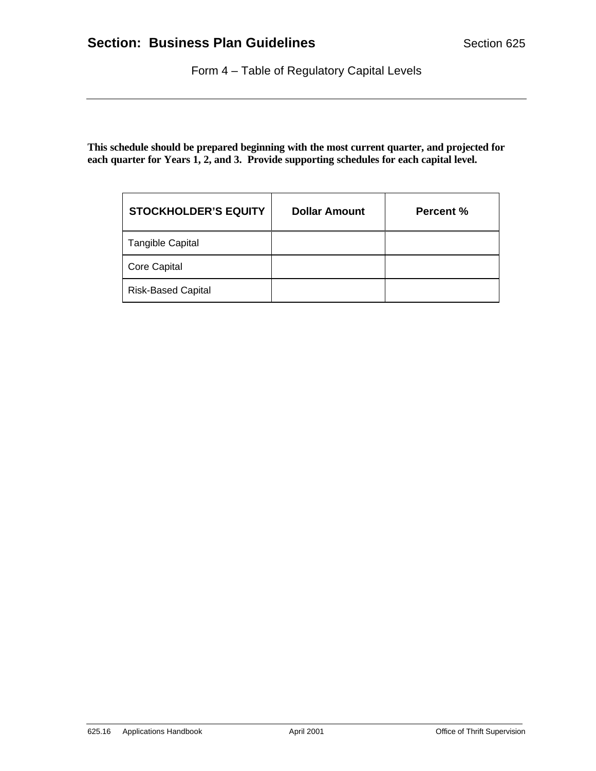Form 4 – Table of Regulatory Capital Levels

**This schedule should be prepared beginning with the most current quarter, and projected for each quarter for Years 1, 2, and 3. Provide supporting schedules for each capital level.**

| <b>STOCKHOLDER'S EQUITY</b> | <b>Dollar Amount</b> | <b>Percent %</b> |
|-----------------------------|----------------------|------------------|
| <b>Tangible Capital</b>     |                      |                  |
| <b>Core Capital</b>         |                      |                  |
| <b>Risk-Based Capital</b>   |                      |                  |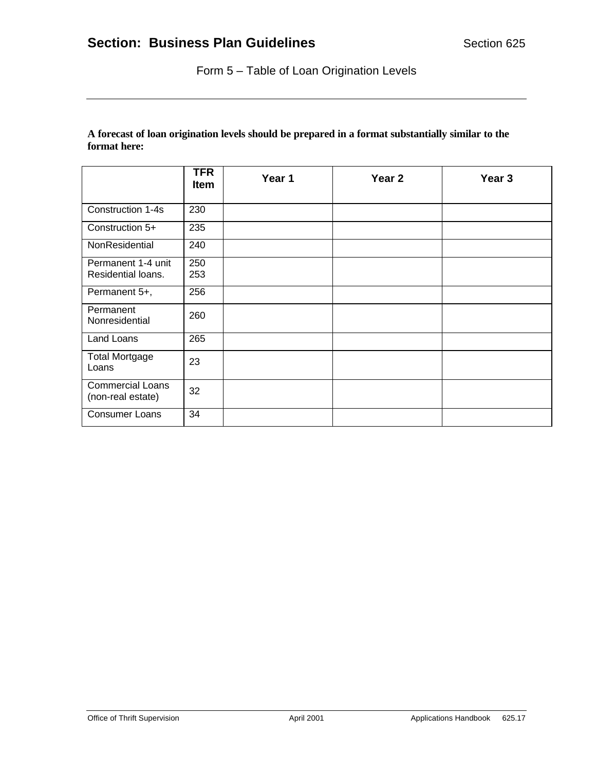Form 5 – Table of Loan Origination Levels

# **A forecast of loan origination levels should be prepared in a format substantially similar to the format here:**

|                                              | <b>TFR</b><br>Item | Year 1 | Year <sub>2</sub> | Year <sub>3</sub> |
|----------------------------------------------|--------------------|--------|-------------------|-------------------|
| Construction 1-4s                            | 230                |        |                   |                   |
| Construction 5+                              | 235                |        |                   |                   |
| NonResidential                               | 240                |        |                   |                   |
| Permanent 1-4 unit<br>Residential loans.     | 250<br>253         |        |                   |                   |
| Permanent 5+,                                | 256                |        |                   |                   |
| Permanent<br>Nonresidential                  | 260                |        |                   |                   |
| Land Loans                                   | 265                |        |                   |                   |
| <b>Total Mortgage</b><br>Loans               | 23                 |        |                   |                   |
| <b>Commercial Loans</b><br>(non-real estate) | 32                 |        |                   |                   |
| <b>Consumer Loans</b>                        | 34                 |        |                   |                   |